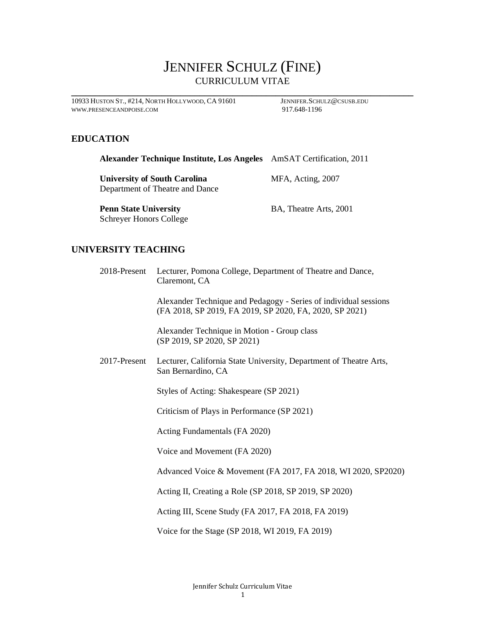# JENNIFER SCHULZ (FINE) CURRICULUM VITAE

**\_\_\_\_\_\_\_\_\_\_\_\_\_\_\_\_\_\_\_\_\_\_\_\_\_\_\_\_\_\_\_\_\_\_\_\_\_\_\_\_\_\_\_\_\_\_\_\_\_\_\_\_\_\_\_\_\_\_\_\_\_\_\_\_\_\_\_\_\_\_\_\_**

10933 HUSTON ST., #214, NORTH HOLLYWOOD, CA 91601 JENNIFER. SCHULZ@CSUSB.EDU<br>www.presenceandpoise.com 917.648-1196 WWW.PRESENCEANDPOISE.COM 917.648-1196

## **EDUCATION**

| Alexander Technique Institute, Los Angeles AmSAT Certification, 2011 |  |
|----------------------------------------------------------------------|--|
|                                                                      |  |

**University of South Carolina** MFA, Acting, 2007 Department of Theatre and Dance

**Penn State University** BA, Theatre Arts, 2001 Schreyer Honors College

## **UNIVERSITY TEACHING**

| 2018-Present | Lecturer, Pomona College, Department of Theatre and Dance,<br>Claremont, CA                                                 |
|--------------|-----------------------------------------------------------------------------------------------------------------------------|
|              | Alexander Technique and Pedagogy - Series of individual sessions<br>(FA 2018, SP 2019, FA 2019, SP 2020, FA, 2020, SP 2021) |
|              | Alexander Technique in Motion - Group class<br>(SP 2019, SP 2020, SP 2021)                                                  |
| 2017-Present | Lecturer, California State University, Department of Theatre Arts,<br>San Bernardino, CA                                    |
|              | Styles of Acting: Shakespeare (SP 2021)                                                                                     |
|              | Criticism of Plays in Performance (SP 2021)                                                                                 |
|              | Acting Fundamentals (FA 2020)                                                                                               |
|              | Voice and Movement (FA 2020)                                                                                                |
|              | Advanced Voice & Movement (FA 2017, FA 2018, WI 2020, SP2020)                                                               |
|              | Acting II, Creating a Role (SP 2018, SP 2019, SP 2020)                                                                      |
|              | Acting III, Scene Study (FA 2017, FA 2018, FA 2019)                                                                         |
|              |                                                                                                                             |

Voice for the Stage (SP 2018, WI 2019, FA 2019)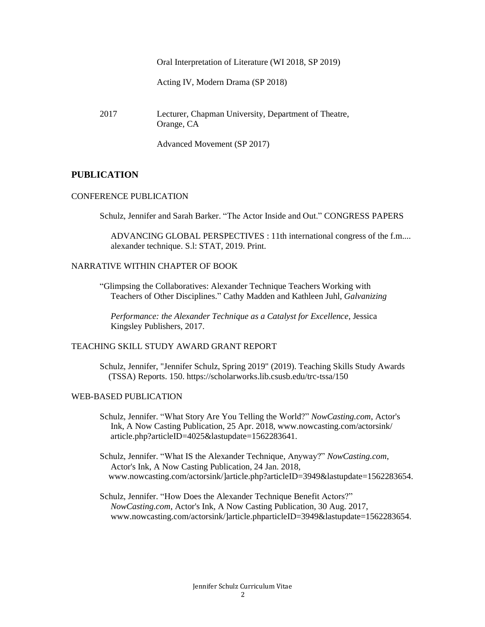Oral Interpretation of Literature (WI 2018, SP 2019)

Acting IV, Modern Drama (SP 2018)

2017 Lecturer, Chapman University, Department of Theatre, Orange, CA

Advanced Movement (SP 2017)

### **PUBLICATION**

#### CONFERENCE PUBLICATION

Schulz, Jennifer and Sarah Barker. "The Actor Inside and Out." CONGRESS PAPERS

 ADVANCING GLOBAL PERSPECTIVES : 11th international congress of the f.m.... alexander technique. S.l: STAT, 2019. Print.

#### NARRATIVE WITHIN CHAPTER OF BOOK

"Glimpsing the Collaboratives: Alexander Technique Teachers Working with Teachers of Other Disciplines." Cathy Madden and Kathleen Juhl, *Galvanizing*

 *Performance: the Alexander Technique as a Catalyst for Excellence*, Jessica Kingsley Publishers, 2017.

#### TEACHING SKILL STUDY AWARD GRANT REPORT

Schulz, Jennifer, "Jennifer Schulz, Spring 2019" (2019). Teaching Skills Study Awards (TSSA) Reports. 150. https://scholarworks.lib.csusb.edu/trc-tssa/150

#### WEB-BASED PUBLICATION

- Schulz, Jennifer. "What Story Are You Telling the World?" *NowCasting.com*, Actor's Ink, A Now Casting Publication, 25 Apr. 2018, [www.nowcasting.com/actorsink/](http://www.nowcasting.com/actorsink/)  article.php?articleID=4025&lastupdate=1562283641.
- Schulz, Jennifer. "What IS the Alexander Technique, Anyway?" *NowCasting.com*, Actor's Ink, A Now Casting Publication, 24 Jan. 2018, www.nowcasting.com/actorsink/]article.php?articleID=3949&lastupdate=1562283654.
- Schulz, Jennifer. "How Does the Alexander Technique Benefit Actors?" *NowCasting.com*, Actor's Ink, A Now Casting Publication, 30 Aug. 2017, [www.nowcasting.com/actorsink/\]](http://www.nowcasting.com/actorsink/)article.phparticleID=3949&lastupdate=1562283654.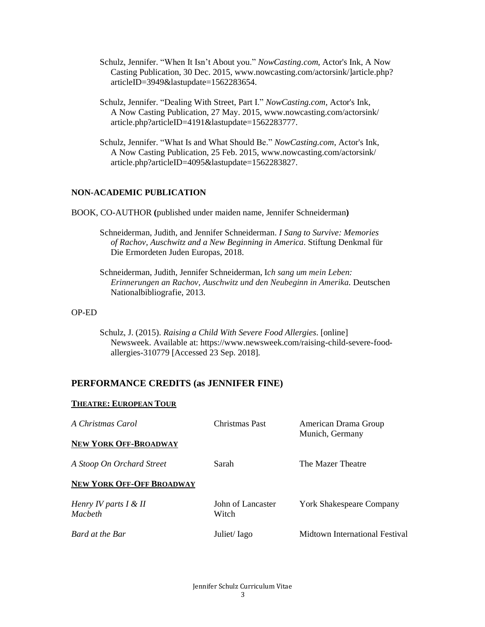- Schulz, Jennifer. "When It Isn't About you." *NowCasting.com*, Actor's Ink, A Now Casting Publication, 30 Dec. 2015, [www.nowcasting.com/actorsink/\]](http://www.nowcasting.com/actorsink/)article.php? articleID=3949&lastupdate=1562283654.
- Schulz, Jennifer. "Dealing With Street, Part I." *NowCasting.com*, Actor's Ink, A Now Casting Publication, 27 May. 2015, [www.nowcasting.com/actorsink/](http://www.nowcasting.com/actorsink/) article.php?articleID=4191&lastupdate=1562283777.
- Schulz, Jennifer. "What Is and What Should Be." *NowCasting.com*, Actor's Ink, A Now Casting Publication, 25 Feb. 2015, [www.nowcasting.com/actorsink/](http://www.nowcasting.com/actorsink/) article.php?articleID=4095&lastupdate=1562283827.

#### **NON-ACADEMIC PUBLICATION**

BOOK, CO-AUTHOR **(**published under maiden name, Jennifer Schneiderman**)**

- Schneiderman, Judith, and Jennifer Schneiderman. *I Sang to Survive: Memories of Rachov, Auschwitz and a New Beginning in America*. Stiftung Denkmal für Die Ermordeten Juden Europas, 2018.
- Schneiderman, Judith, Jennifer Schneiderman, I*ch sang um mein Leben: Erinnerungen an Rachov, Auschwitz und den Neubeginn in Amerika.* Deutschen Nationalbibliografie, 2013.

#### OP-ED

Schulz, J. (2015). *Raising a Child With Severe Food Allergies*. [online] Newsweek. Available at: [https://www.newsweek.com/raising-child-s](https://www.newsweek.com/raising-child-)evere-food allergies-310779 [Accessed 23 Sep. 2018].

#### **PERFORMANCE CREDITS (as JENNIFER FINE)**

#### **THEATRE: EUROPEAN TOUR**

| A Christmas Carol                          | Christmas Past             | American Drama Group<br>Munich, Germany |
|--------------------------------------------|----------------------------|-----------------------------------------|
| <b>NEW YORK OFF-BROADWAY</b>               |                            |                                         |
| A Stoop On Orchard Street                  | Sarah                      | The Mazer Theatre                       |
| <b>NEW YORK OFF-OFF BROADWAY</b>           |                            |                                         |
| Henry IV parts $I \& II$<br><b>Macheth</b> | John of Lancaster<br>Witch | <b>York Shakespeare Company</b>         |
| Bard at the Bar                            | Juliet/ Iago               | Midtown International Festival          |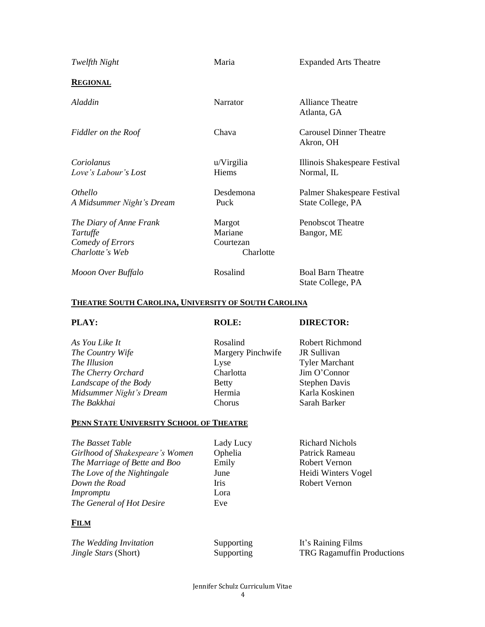| Twelfth Night                                                              | Maria                                       | <b>Expanded Arts Theatre</b>                     |
|----------------------------------------------------------------------------|---------------------------------------------|--------------------------------------------------|
| <b>REGIONAL</b>                                                            |                                             |                                                  |
| Aladdin                                                                    | Narrator                                    | <b>Alliance Theatre</b><br>Atlanta, GA           |
| Fiddler on the Roof                                                        | Chava                                       | <b>Carousel Dinner Theatre</b><br>Akron, OH      |
| Coriolanus<br>Love's Labour's Lost                                         | u/Virgilia<br>Hiems                         | Illinois Shakespeare Festival<br>Normal, IL      |
| Othello<br>A Midsummer Night's Dream                                       | Desdemona<br>Puck                           | Palmer Shakespeare Festival<br>State College, PA |
| The Diary of Anne Frank<br>Tartuffe<br>Comedy of Errors<br>Charlotte's Web | Margot<br>Mariane<br>Courtezan<br>Charlotte | <b>Penobscot Theatre</b><br>Bangor, ME           |
| Mooon Over Buffalo                                                         | Rosalind                                    | <b>Boal Barn Theatre</b><br>State College, PA    |

#### **THEATRE SOUTH CAROLINA, UNIVERSITY OF SOUTH CAROLINA**

**PLAY: ROLE: DIRECTOR:**

*As You Like It* Rosalind Robert Richmond *The Country Wife* Margery Pinchwife JR Sullivan **The Illusion** Lyse Tyler Marchant *The Cherry Orchard* Charlotta Jim O'Connor *Landscape of the Body* **Betty** Betty Stephen Davis *Midsummer Night's Dream* Hermia **Stephen Davis** *Karla Koskinen Midsummer Night's Dream* Hermia *The Bakkhai* Chorus Sarah Barker

#### **PENN STATE UNIVERSITY SCHOOL OF THEATRE**

**The Basset Table Contract Lady Lucy Richard Nichols** *Girlhood of Shakespeare's Women* Ophelia Patrick Rameau *The Marriage of Bette and Boo* Emily Robert Vernon *The Love of the Nightingale* June June Heidi Winters Vogel *Down the Road* Iris Robert Vernon *Impromptu* Lora *The General of Hot Desire* Eve

#### **FILM**

| The Wedding Invitation      | Supporting | It's Raining Films                |
|-----------------------------|------------|-----------------------------------|
| <i>Jingle Stars</i> (Short) | Supporting | <b>TRG Ragamuffin Productions</b> |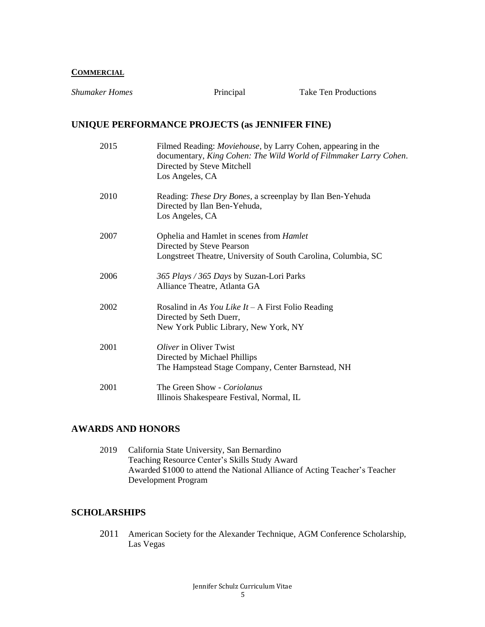#### **COMMERCIAL**

| <b>Shumaker Homes</b> | Principal                                                                                                                | <b>Take Ten Productions</b>                                                                                                       |
|-----------------------|--------------------------------------------------------------------------------------------------------------------------|-----------------------------------------------------------------------------------------------------------------------------------|
|                       | UNIQUE PERFORMANCE PROJECTS (as JENNIFER FINE)                                                                           |                                                                                                                                   |
| 2015                  | Directed by Steve Mitchell<br>Los Angeles, CA                                                                            | Filmed Reading: Moviehouse, by Larry Cohen, appearing in the<br>documentary, King Cohen: The Wild World of Filmmaker Larry Cohen. |
| 2010                  | Reading: These Dry Bones, a screenplay by Ilan Ben-Yehuda<br>Directed by Ilan Ben-Yehuda,<br>Los Angeles, CA             |                                                                                                                                   |
| 2007                  | Ophelia and Hamlet in scenes from Hamlet<br>Directed by Steve Pearson                                                    | Longstreet Theatre, University of South Carolina, Columbia, SC                                                                    |
| 2006                  | 365 Plays / 365 Days by Suzan-Lori Parks<br>Alliance Theatre, Atlanta GA                                                 |                                                                                                                                   |
| 2002                  | Rosalind in As You Like $It - A$ First Folio Reading<br>Directed by Seth Duerr,<br>New York Public Library, New York, NY |                                                                                                                                   |
| 2001                  | Oliver in Oliver Twist<br>Directed by Michael Phillips<br>The Hampstead Stage Company, Center Barnstead, NH              |                                                                                                                                   |
| 2001                  | The Green Show - Coriolanus<br>Illinois Shakespeare Festival, Normal, IL                                                 |                                                                                                                                   |

## **AWARDS AND HONORS**

2019 California State University, San Bernardino Teaching Resource Center's Skills Study Award Awarded \$1000 to attend the National Alliance of Acting Teacher's Teacher Development Program

## **SCHOLARSHIPS**

2011 American Society for the Alexander Technique, AGM Conference Scholarship, Las Vegas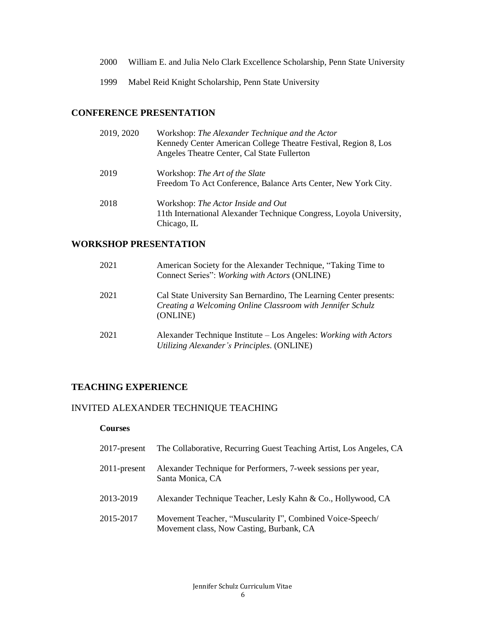- 2000 William E. and Julia Nelo Clark Excellence Scholarship, Penn State University
- 1999 Mabel Reid Knight Scholarship, Penn State University

## **CONFERENCE PRESENTATION**

| 2019, 2020 | Workshop: The Alexander Technique and the Actor<br>Kennedy Center American College Theatre Festival, Region 8, Los<br>Angeles Theatre Center, Cal State Fullerton |
|------------|-------------------------------------------------------------------------------------------------------------------------------------------------------------------|
| 2019       | Workshop: The Art of the Slate<br>Freedom To Act Conference, Balance Arts Center, New York City.                                                                  |
| 2018       | Workshop: The Actor Inside and Out<br>11th International Alexander Technique Congress, Loyola University,<br>Chicago, IL                                          |

## **WORKSHOP PRESENTATION**

| 2021 | American Society for the Alexander Technique, "Taking Time to<br>Connect Series": Working with Actors (ONLINE)                               |
|------|----------------------------------------------------------------------------------------------------------------------------------------------|
| 2021 | Cal State University San Bernardino, The Learning Center presents:<br>Creating a Welcoming Online Classroom with Jennifer Schulz<br>(ONLINE) |
| 2021 | Alexander Technique Institute – Los Angeles: Working with Actors<br>Utilizing Alexander's Principles. (ONLINE)                               |

## **TEACHING EXPERIENCE**

## INVITED ALEXANDER TECHNIQUE TEACHING

#### **Courses**

| $2017$ -present | The Collaborative, Recurring Guest Teaching Artist, Los Angeles, CA                                   |
|-----------------|-------------------------------------------------------------------------------------------------------|
| $2011$ -present | Alexander Technique for Performers, 7-week sessions per year,<br>Santa Monica, CA                     |
| 2013-2019       | Alexander Technique Teacher, Lesly Kahn & Co., Hollywood, CA                                          |
| 2015-2017       | Movement Teacher, "Muscularity I", Combined Voice-Speech/<br>Movement class, Now Casting, Burbank, CA |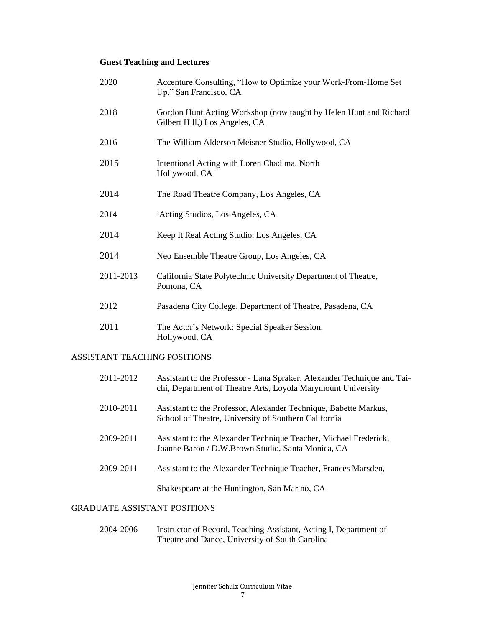## **Guest Teaching and Lectures**

| 2020      | Accenture Consulting, "How to Optimize your Work-From-Home Set<br>Up." San Francisco, CA           |
|-----------|----------------------------------------------------------------------------------------------------|
| 2018      | Gordon Hunt Acting Workshop (now taught by Helen Hunt and Richard<br>Gilbert Hill, Los Angeles, CA |
| 2016      | The William Alderson Meisner Studio, Hollywood, CA                                                 |
| 2015      | Intentional Acting with Loren Chadima, North<br>Hollywood, CA                                      |
| 2014      | The Road Theatre Company, Los Angeles, CA                                                          |
| 2014      | iActing Studios, Los Angeles, CA                                                                   |
| 2014      | Keep It Real Acting Studio, Los Angeles, CA                                                        |
| 2014      | Neo Ensemble Theatre Group, Los Angeles, CA                                                        |
| 2011-2013 | California State Polytechnic University Department of Theatre,<br>Pomona, CA                       |
| 2012      | Pasadena City College, Department of Theatre, Pasadena, CA                                         |
| 2011      | The Actor's Network: Special Speaker Session,<br>Hollywood, CA                                     |

#### ASSISTANT TEACHING POSITIONS

| 2011-2012 | Assistant to the Professor - Lana Spraker, Alexander Technique and Tai-<br>chi, Department of Theatre Arts, Loyola Marymount University |
|-----------|-----------------------------------------------------------------------------------------------------------------------------------------|
| 2010-2011 | Assistant to the Professor, Alexander Technique, Babette Markus,<br>School of Theatre, University of Southern California                |
| 2009-2011 | Assistant to the Alexander Technique Teacher, Michael Frederick,<br>Joanne Baron / D.W.Brown Studio, Santa Monica, CA                   |
| 2009-2011 | Assistant to the Alexander Technique Teacher, Frances Marsden,                                                                          |
|           | Shakespeare at the Huntington, San Marino, CA                                                                                           |

#### GRADUATE ASSISTANT POSITIONS

2004-2006 Instructor of Record, Teaching Assistant, Acting I, Department of Theatre and Dance, University of South Carolina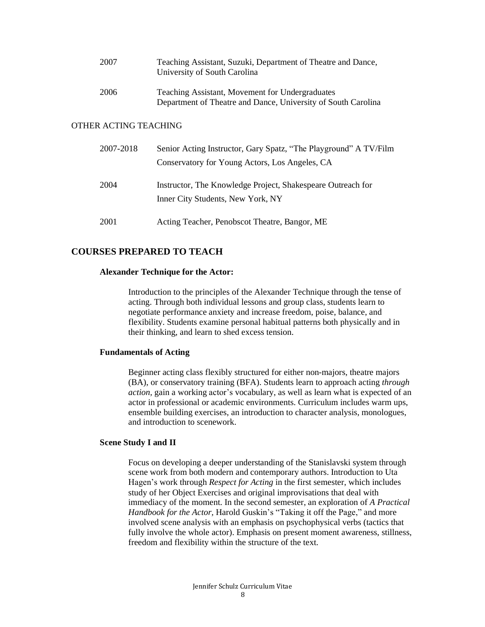| 2007 | Teaching Assistant, Suzuki, Department of Theatre and Dance,<br>University of South Carolina |
|------|----------------------------------------------------------------------------------------------|
| 2006 | Teaching Assistant, Movement for Undergraduates                                              |

Department of Theatre and Dance, University of South Carolina

#### OTHER ACTING TEACHING

| 2007-2018 | Senior Acting Instructor, Gary Spatz, "The Playground" A TV/Film<br>Conservatory for Young Actors, Los Angeles, CA |
|-----------|--------------------------------------------------------------------------------------------------------------------|
| 2004      | Instructor, The Knowledge Project, Shakespeare Outreach for<br>Inner City Students, New York, NY                   |
| 2001      | Acting Teacher, Penobscot Theatre, Bangor, ME                                                                      |

#### **COURSES PREPARED TO TEACH**

#### **Alexander Technique for the Actor:**

Introduction to the principles of the Alexander Technique through the tense of acting. Through both individual lessons and group class, students learn to negotiate performance anxiety and increase freedom, poise, balance, and flexibility. Students examine personal habitual patterns both physically and in their thinking, and learn to shed excess tension.

#### **Fundamentals of Acting**

Beginner acting class flexibly structured for either non-majors, theatre majors (BA), or conservatory training (BFA). Students learn to approach acting *through action,* gain a working actor's vocabulary, as well as learn what is expected of an actor in professional or academic environments. Curriculum includes warm ups, ensemble building exercises, an introduction to character analysis, monologues, and introduction to scenework.

#### **Scene Study I and II**

Focus on developing a deeper understanding of the Stanislavski system through scene work from both modern and contemporary authors. Introduction to Uta Hagen's work through *Respect for Acting* in the first semester, which includes study of her Object Exercises and original improvisations that deal with immediacy of the moment. In the second semester, an exploration of *A Practical Handbook for the Actor,* Harold Guskin's "Taking it off the Page," and more involved scene analysis with an emphasis on psychophysical verbs (tactics that fully involve the whole actor). Emphasis on present moment awareness, stillness, freedom and flexibility within the structure of the text.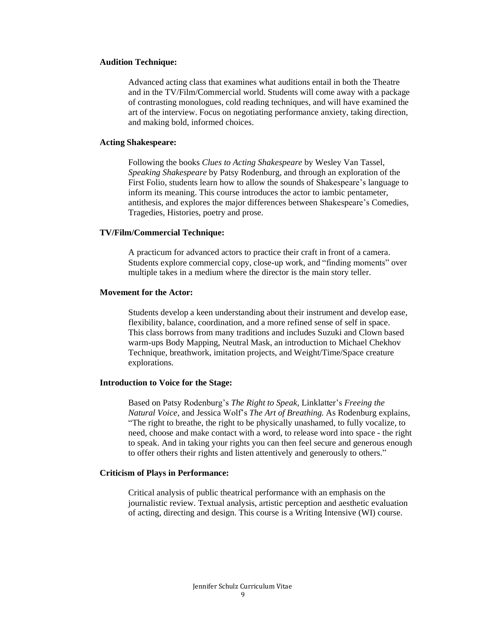#### **Audition Technique:**

Advanced acting class that examines what auditions entail in both the Theatre and in the TV/Film/Commercial world. Students will come away with a package of contrasting monologues, cold reading techniques, and will have examined the art of the interview. Focus on negotiating performance anxiety, taking direction, and making bold, informed choices.

#### **Acting Shakespeare:**

Following the books *Clues to Acting Shakespeare* by Wesley Van Tassel, *Speaking Shakespeare* by Patsy Rodenburg, and through an exploration of the First Folio, students learn how to allow the sounds of Shakespeare's language to inform its meaning. This course introduces the actor to iambic pentameter, antithesis, and explores the major differences between Shakespeare's Comedies, Tragedies, Histories, poetry and prose.

#### **TV/Film/Commercial Technique:**

A practicum for advanced actors to practice their craft in front of a camera. Students explore commercial copy, close-up work, and "finding moments" over multiple takes in a medium where the director is the main story teller.

#### **Movement for the Actor:**

Students develop a keen understanding about their instrument and develop ease, flexibility, balance, coordination, and a more refined sense of self in space. This class borrows from many traditions and includes Suzuki and Clown based warm-ups Body Mapping, Neutral Mask, an introduction to Michael Chekhov Technique, breathwork, imitation projects, and Weight/Time/Space creature explorations.

#### **Introduction to Voice for the Stage:**

Based on Patsy Rodenburg's *The Right to Speak,* Linklatter's *Freeing the Natural Voice,* and Jessica Wolf's *The Art of Breathing.* As Rodenburg explains, "The right to breathe, the right to be physically unashamed, to fully vocalize, to need, choose and make contact with a word, to release word into space - the right to speak. And in taking your rights you can then feel secure and generous enough to offer others their rights and listen attentively and generously to others."

#### **Criticism of Plays in Performance:**

Critical analysis of public theatrical performance with an emphasis on the journalistic review. Textual analysis, artistic perception and aesthetic evaluation of acting, directing and design. This course is a Writing Intensive (WI) course.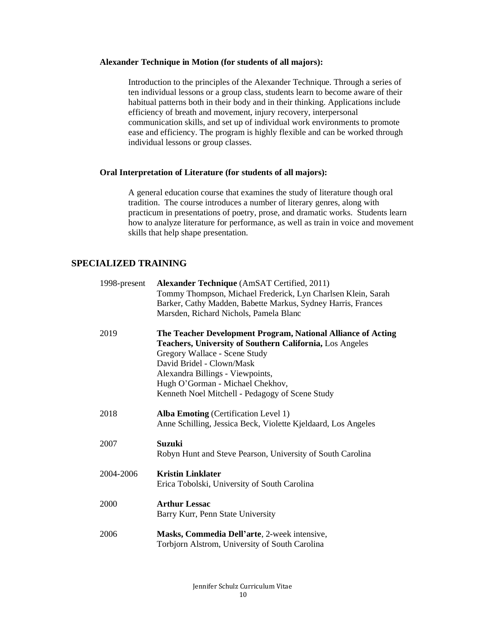#### **Alexander Technique in Motion (for students of all majors):**

Introduction to the principles of the Alexander Technique. Through a series of ten individual lessons or a group class, students learn to become aware of their habitual patterns both in their body and in their thinking. Applications include efficiency of breath and movement, injury recovery, interpersonal communication skills, and set up of individual work environments to promote ease and efficiency. The program is highly flexible and can be worked through individual lessons or group classes.

#### **Oral Interpretation of Literature (for students of all majors):**

A general education course that examines the study of literature though oral tradition. The course introduces a number of literary genres, along with practicum in presentations of poetry, prose, and dramatic works. Students learn how to analyze literature for performance, as well as train in voice and movement skills that help shape presentation.

## **SPECIALIZED TRAINING**

| 1998-present | Alexander Technique (AmSAT Certified, 2011)<br>Tommy Thompson, Michael Frederick, Lyn Charlsen Klein, Sarah<br>Barker, Cathy Madden, Babette Markus, Sydney Harris, Frances<br>Marsden, Richard Nichols, Pamela Blanc                                                                                             |
|--------------|-------------------------------------------------------------------------------------------------------------------------------------------------------------------------------------------------------------------------------------------------------------------------------------------------------------------|
| 2019         | The Teacher Development Program, National Alliance of Acting<br>Teachers, University of Southern California, Los Angeles<br>Gregory Wallace - Scene Study<br>David Bridel - Clown/Mask<br>Alexandra Billings - Viewpoints,<br>Hugh O'Gorman - Michael Chekhov,<br>Kenneth Noel Mitchell - Pedagogy of Scene Study |
| 2018         | <b>Alba Emoting</b> (Certification Level 1)<br>Anne Schilling, Jessica Beck, Violette Kjeldaard, Los Angeles                                                                                                                                                                                                      |
| 2007         | Suzuki<br>Robyn Hunt and Steve Pearson, University of South Carolina                                                                                                                                                                                                                                              |
| 2004-2006    | <b>Kristin Linklater</b><br>Erica Tobolski, University of South Carolina                                                                                                                                                                                                                                          |
| 2000         | <b>Arthur Lessac</b><br>Barry Kurr, Penn State University                                                                                                                                                                                                                                                         |
| 2006         | Masks, Commedia Dell'arte, 2-week intensive,<br>Torbjorn Alstrom, University of South Carolina                                                                                                                                                                                                                    |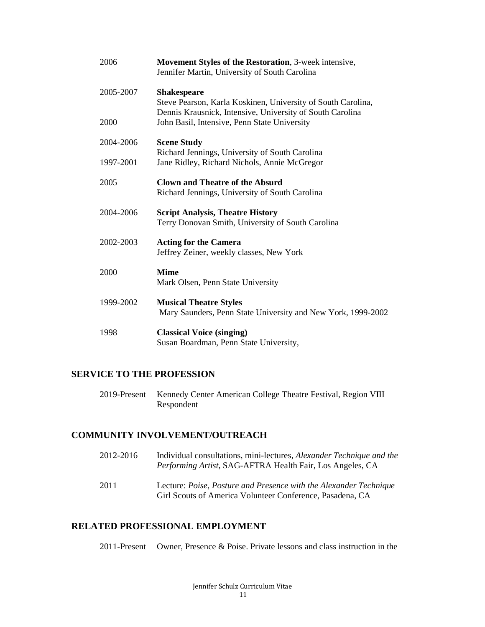| 2006      | Movement Styles of the Restoration, 3-week intensive,<br>Jennifer Martin, University of South Carolina    |
|-----------|-----------------------------------------------------------------------------------------------------------|
| 2005-2007 | <b>Shakespeare</b><br>Steve Pearson, Karla Koskinen, University of South Carolina,                        |
| 2000      | Dennis Krausnick, Intensive, University of South Carolina<br>John Basil, Intensive, Penn State University |
| 2004-2006 | <b>Scene Study</b>                                                                                        |
| 1997-2001 | Richard Jennings, University of South Carolina<br>Jane Ridley, Richard Nichols, Annie McGregor            |
| 2005      | <b>Clown and Theatre of the Absurd</b><br>Richard Jennings, University of South Carolina                  |
| 2004-2006 | <b>Script Analysis, Theatre History</b><br>Terry Donovan Smith, University of South Carolina              |
| 2002-2003 | <b>Acting for the Camera</b><br>Jeffrey Zeiner, weekly classes, New York                                  |
| 2000      | <b>Mime</b><br>Mark Olsen, Penn State University                                                          |
| 1999-2002 | <b>Musical Theatre Styles</b><br>Mary Saunders, Penn State University and New York, 1999-2002             |
| 1998      | <b>Classical Voice (singing)</b><br>Susan Boardman, Penn State University,                                |

## **SERVICE TO THE PROFESSION**

2019-Present Kennedy Center American College Theatre Festival, Region VIII Respondent

## **COMMUNITY INVOLVEMENT/OUTREACH**

2012-2016 Individual consultations, mini-lectures, *Alexander Technique and the Performing Artist*, SAG-AFTRA Health Fair, Los Angeles, CA 2011 Lecture: *Poise, Posture and Presence with the Alexander Technique* Girl Scouts of America Volunteer Conference, Pasadena, CA

## **RELATED PROFESSIONAL EMPLOYMENT**

2011-Present Owner, Presence & Poise. Private lessons and class instruction in the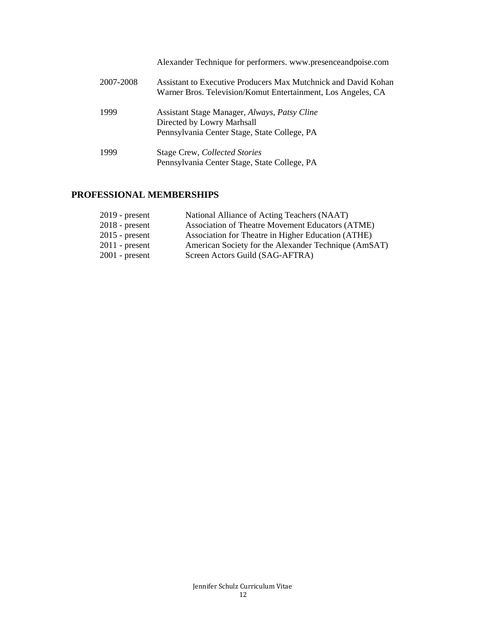|           | Alexander Technique for performers. www.presenceandpoise.com                                                                   |
|-----------|--------------------------------------------------------------------------------------------------------------------------------|
| 2007-2008 | Assistant to Executive Producers Max Mutchnick and David Kohan<br>Warner Bros. Television/Komut Entertainment, Los Angeles, CA |
| 1999      | Assistant Stage Manager, Always, Patsy Cline<br>Directed by Lowry Marhsall<br>Pennsylvania Center Stage, State College, PA     |
| 1999      | <b>Stage Crew, Collected Stories</b><br>Pennsylvania Center Stage, State College, PA                                           |

## **PROFESSIONAL MEMBERSHIPS**

| $2019$ - present | National Alliance of Acting Teachers (NAAT)          |
|------------------|------------------------------------------------------|
| $2018$ - present | Association of Theatre Movement Educators (ATME)     |
| $2015$ - present | Association for Theatre in Higher Education (ATHE)   |
| $2011$ - present | American Society for the Alexander Technique (AmSAT) |
| $2001$ - present | Screen Actors Guild (SAG-AFTRA)                      |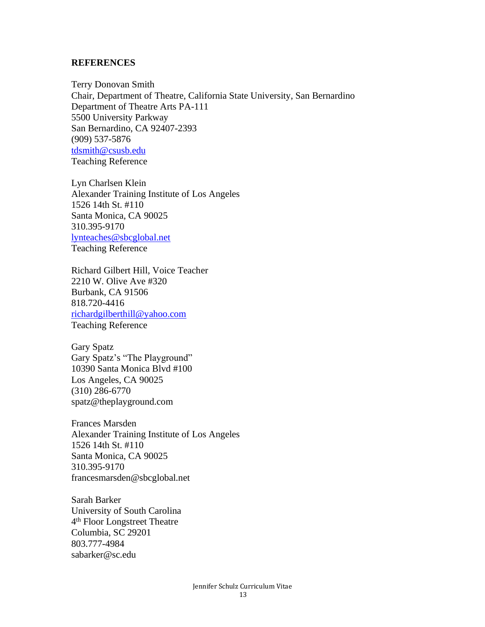#### **REFERENCES**

Terry Donovan Smith Chair, Department of Theatre, California State University, San Bernardino Department of Theatre Arts PA-111 5500 University Parkway San Bernardino, CA 92407-2393 (909) 537-5876 [tdsmith@csusb.edu](mailto:tdsmith@csusb.edu) Teaching Reference

Lyn Charlsen Klein Alexander Training Institute of Los Angeles 1526 14th St. #110 Santa Monica, CA 90025 310.395-9170 [lynteaches@sbcglobal.net](mailto:lynteaches@sbcglobal.net) Teaching Reference

Richard Gilbert Hill, Voice Teacher 2210 W. Olive Ave #320 Burbank, CA 91506 818.720-4416 [richardgilberthill@yahoo.com](mailto:richardgilberthill@yahoo.com) Teaching Reference

Gary Spatz Gary Spatz's "The Playground" 10390 Santa Monica Blvd #100 Los Angeles, CA 90025 (310) 286-6770 [spatz@theplayground.com](mailto:spatz@theplayground.com)

Frances Marsden Alexander Training Institute of Los Angeles 1526 14th St. #110 Santa Monica, CA 90025 310.395-9170 francesmarsden@sbcglobal.net

Sarah Barker University of South Carolina 4<sup>th</sup> Floor Longstreet Theatre Columbia, SC 29201 803.777-4984 sabarker@sc.edu